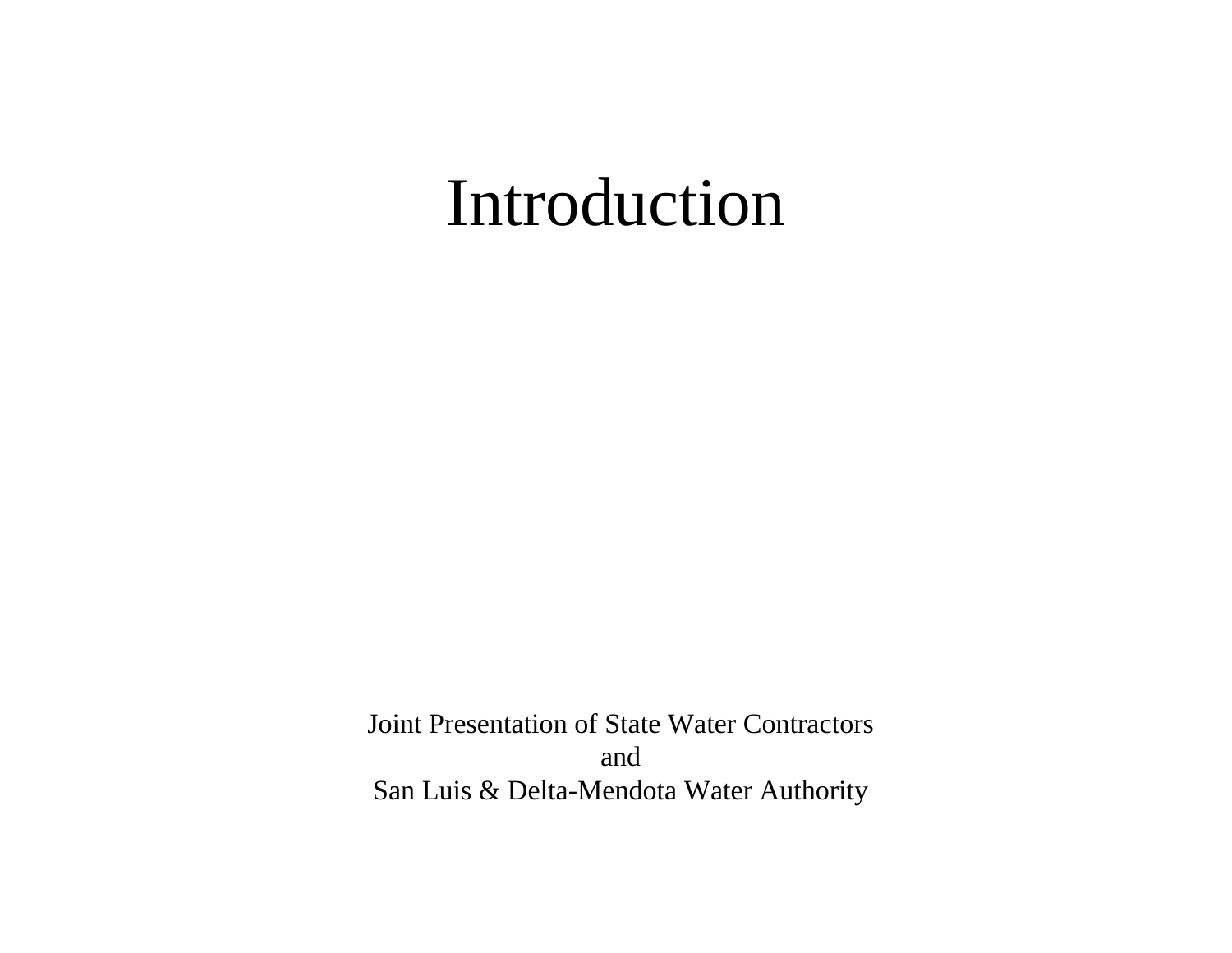#### Introduction

Joint Presentation of State Water Contractors and San Luis & Delta-Mendota Water Authority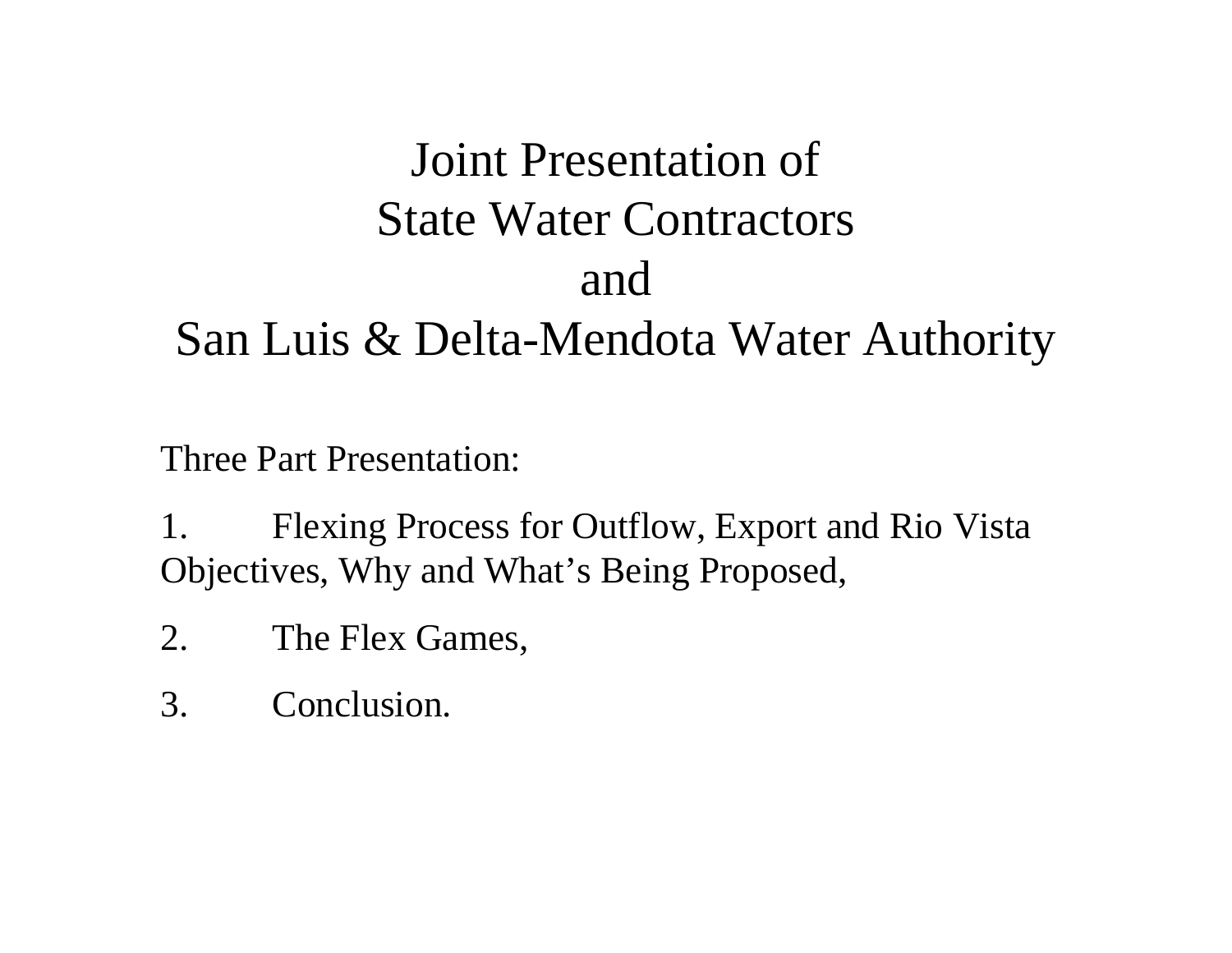#### Joint Presentation of State Water Contractors and San Luis & Delta-Mendota Water Authority

Three Part Presentation:

1. Flexing Process for Outflow, Export and Rio Vista Objectives, Why and What's Being Proposed,

- 2. The Flex Games,
- 3. Conclusion.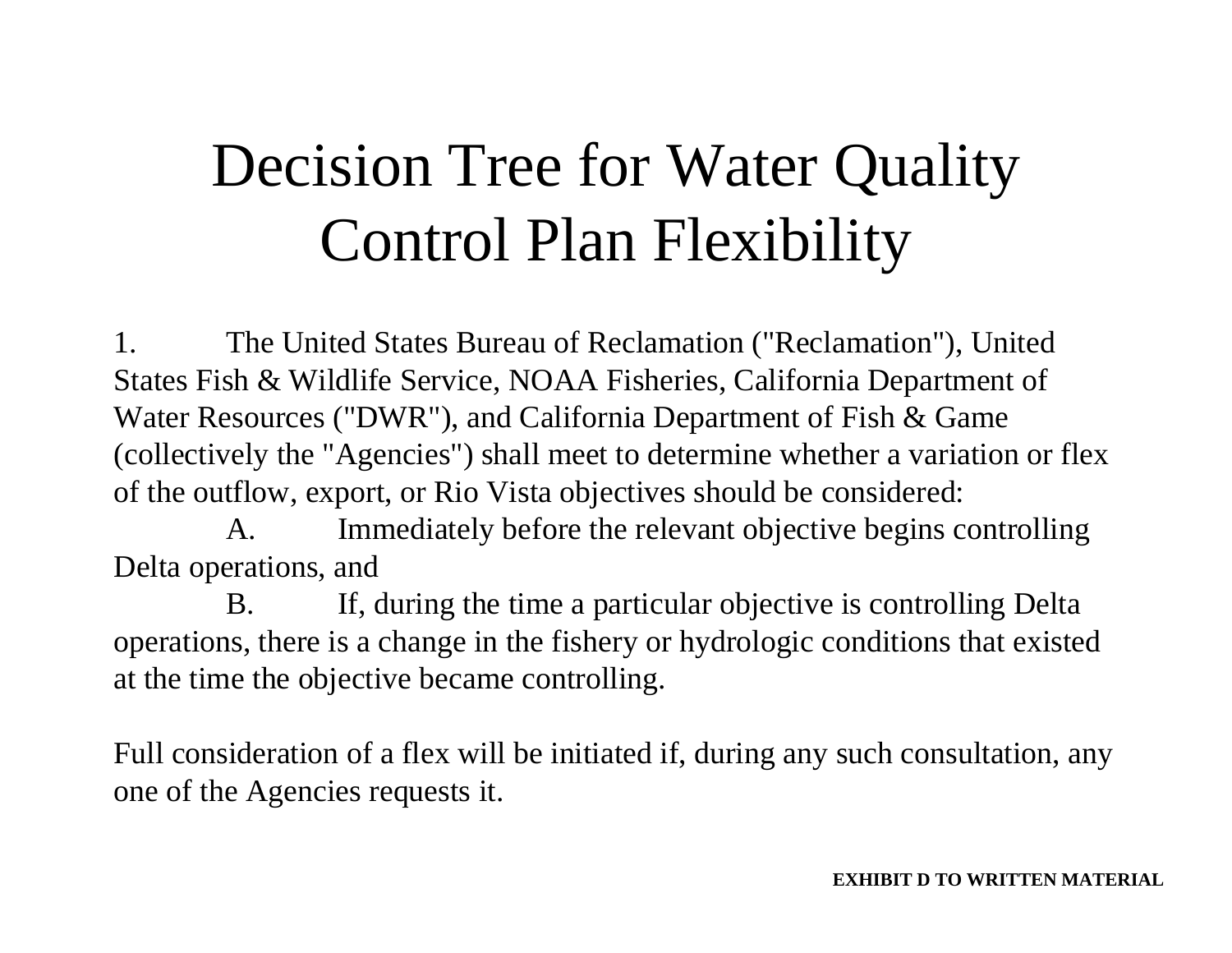1. The United States Bureau of Reclamation ("Reclamation"), United States Fish & Wildlife Service, NOAA Fisheries, California Department of Water Resources ("DWR"), and California Department of Fish & Game (collectively the "Agencies") shall meet to determine whether a variation or flex of the outflow, export, or Rio Vista objectives should be considered:

A. Immediately before the relevant objective begins controlling Delta operations, and

B. If, during the time a particular objective is controlling Delta operations, there is a change in the fishery or hydrologic conditions that existed at the time the objective became controlling.

Full consideration of a flex will be initiated if, during any such consultation, any one of the Agencies requests it.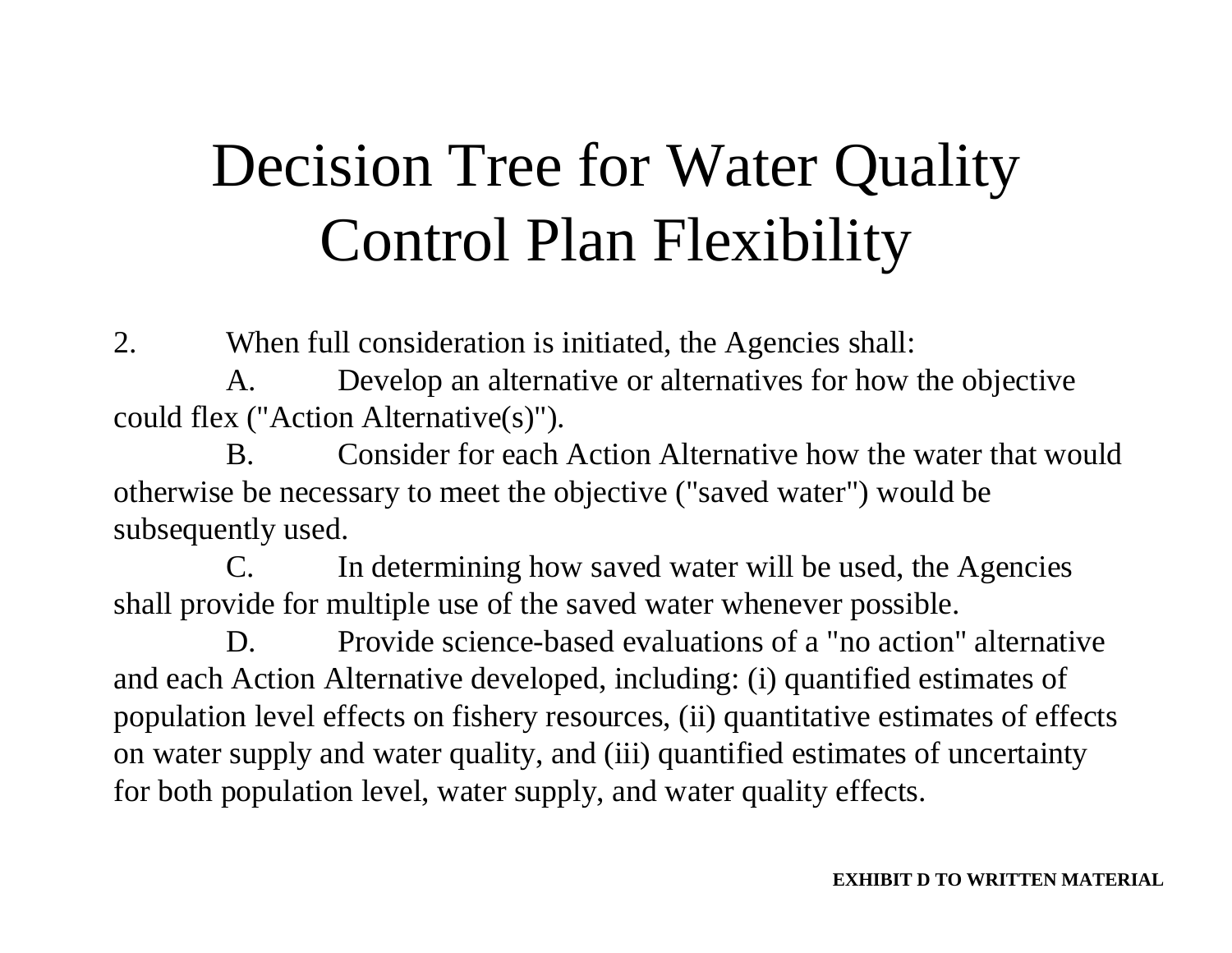2. When full consideration is initiated, the Agencies shall:

A. Develop an alternative or alternatives for how the objective could flex ("Action Alternative(s)").

B. Consider for each Action Alternative how the water that would otherwise be necessary to meet the objective ("saved water") would be subsequently used.

C. In determining how saved water will be used, the Agencies shall provide for multiple use of the saved water whenever possible.

D. Provide science-based evaluations of a "no action" alternative and each Action Alternative developed, including: (i) quantified estimates of population level effects on fishery resources, (ii) quantitative estimates of effects on water supply and water quality, and (iii) quantified estimates of uncertainty for both population level, water supply, and water quality effects.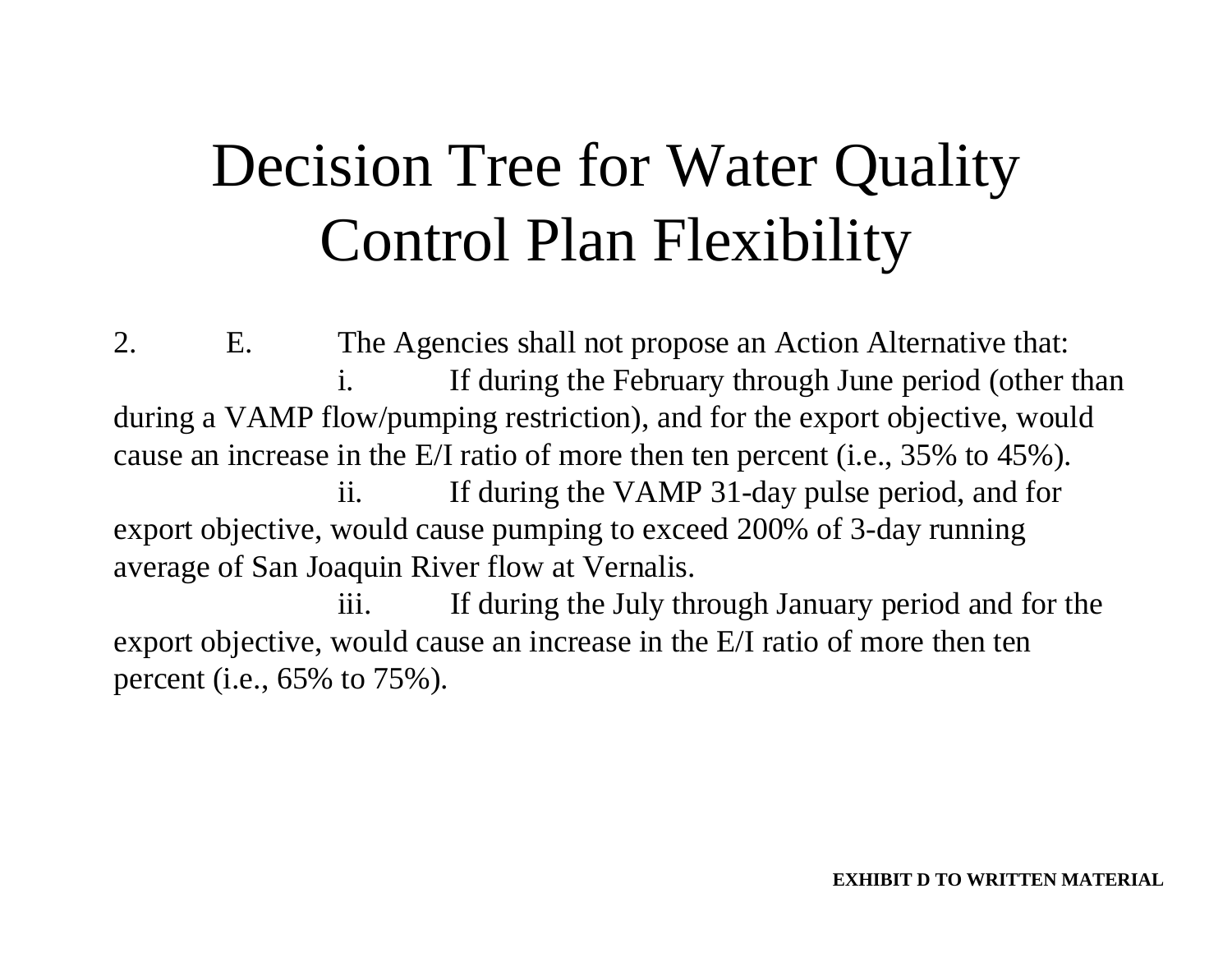2. E. The Agencies shall not propose an Action Alternative that: i. If during the February through June period (other than during a VAMP flow/pumping restriction), and for the export objective, would cause an increase in the E/I ratio of more then ten percent (i.e., 35% to 45%). ii. If during the VAMP 31-day pulse period, and for export objective, would cause pumping to exceed 200% of 3-day running average of San Joaquin River flow at Vernalis.

iii. If during the July through January period and for the export objective, would cause an increase in the E/I ratio of more then ten percent (i.e., 65% to 75%).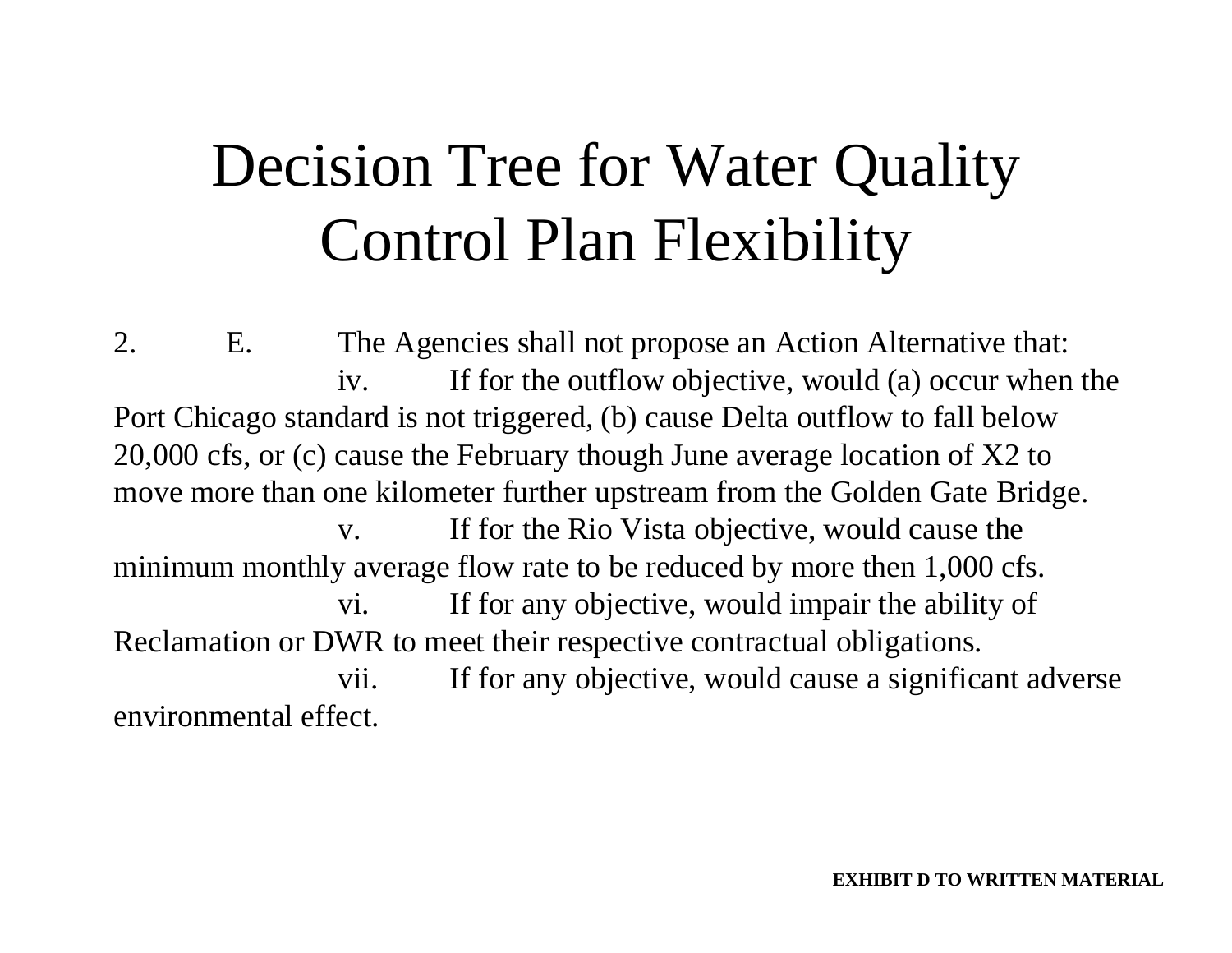2. E. The Agencies shall not propose an Action Alternative that: iv. If for the outflow objective, would (a) occur when the Port Chicago standard is not triggered, (b) cause Delta outflow to fall below 20,000 cfs, or (c) cause the February though June average location of X2 to move more than one kilometer further upstream from the Golden Gate Bridge. v. If for the Rio Vista objective, would cause the minimum monthly average flow rate to be reduced by more then 1,000 cfs. vi. If for any objective, would impair the ability of Reclamation or DWR to meet their respective contractual obligations. vii. If for any objective, would cause a significant adverse environmental effect.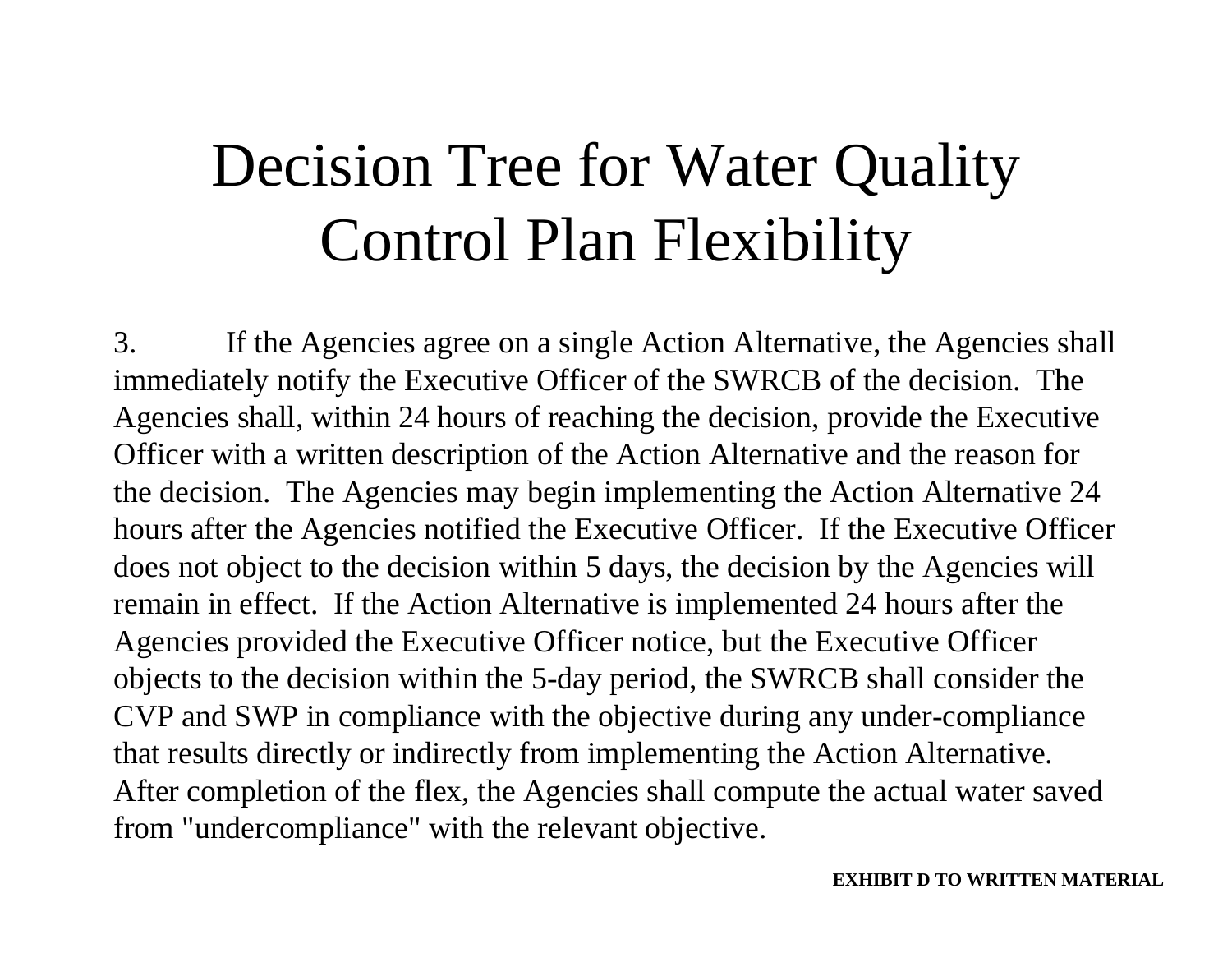3. If the Agencies agree on a single Action Alternative, the Agencies shall immediately notify the Executive Officer of the SWRCB of the decision. The Agencies shall, within 24 hours of reaching the decision, provide the Executive Officer with a written description of the Action Alternative and the reason for the decision. The Agencies may begin implementing the Action Alternative 24 hours after the Agencies notified the Executive Officer. If the Executive Officer does not object to the decision within 5 days, the decision by the Agencies will remain in effect. If the Action Alternative is implemented 24 hours after the Agencies provided the Executive Officer notice, but the Executive Officer objects to the decision within the 5-day period, the SWRCB shall consider the CVP and SWP in compliance with the objective during any under-compliance that results directly or indirectly from implementing the Action Alternative. After completion of the flex, the Agencies shall compute the actual water saved from "undercompliance" with the relevant objective.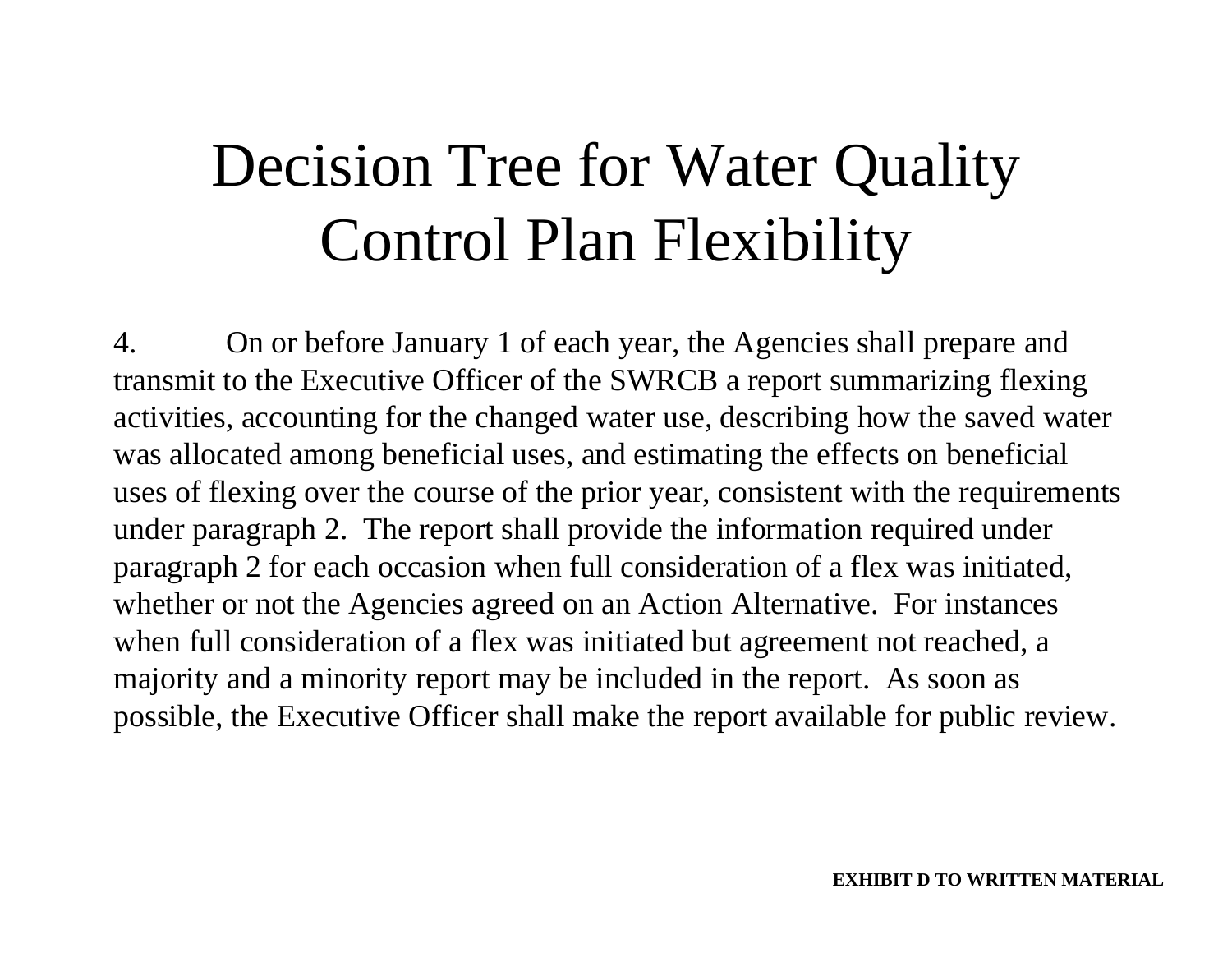4. On or before January 1 of each year, the Agencies shall prepare and transmit to the Executive Officer of the SWRCB a report summarizing flexing activities, accounting for the changed water use, describing how the saved water was allocated among beneficial uses, and estimating the effects on beneficial uses of flexing over the course of the prior year, consistent with the requirements under paragraph 2. The report shall provide the information required under paragraph 2 for each occasion when full consideration of a flex was initiated, whether or not the Agencies agreed on an Action Alternative. For instances when full consideration of a flex was initiated but agreement not reached, a majority and a minority report may be included in the report. As soon as possible, the Executive Officer shall make the report available for public review.